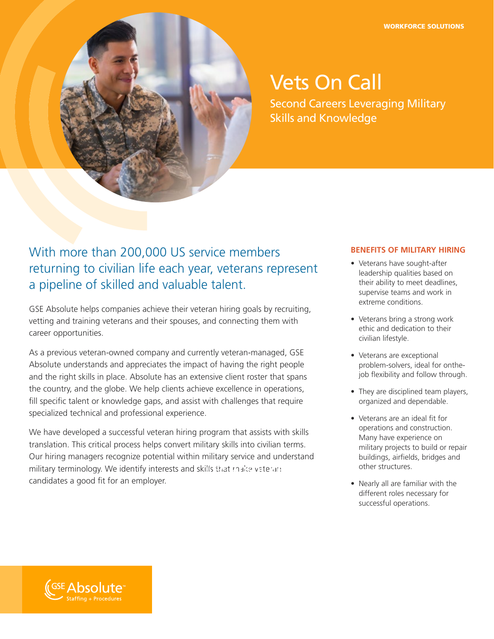

# Vets On Call

Second Careers Leveraging Military Skills and Knowledge

## With more than 200,000 US service members returning to civilian life each year, veterans represent a pipeline of skilled and valuable talent.

GSE Absolute helps companies achieve their veteran hiring goals by recruiting, vetting and training veterans and their spouses, and connecting them with career opportunities.

As a previous veteran-owned company and currently veteran-managed, GSE Absolute understands and appreciates the impact of having the right people and the right skills in place. Absolute has an extensive client roster that spans the country, and the globe. We help clients achieve excellence in operations, fill specific talent or knowledge gaps, and assist with challenges that require specialized technical and professional experience.

We have developed a successful veteran hiring program that assists with skills translation. This critical process helps convert military skills into civilian terms. Our hiring managers recognize potential within military service and understand military terminology. We identify interests and skills that make veteran candidates a good fit for an employer.

#### **BENEFITS OF MILITARY HIRING**

- Veterans have sought-after leadership qualities based on their ability to meet deadlines, supervise teams and work in extreme conditions.
- Veterans bring a strong work ethic and dedication to their civilian lifestyle.
- Veterans are exceptional problem-solvers, ideal for onthejob flexibility and follow through.
- They are disciplined team players, organized and dependable.
- Veterans are an ideal fit for operations and construction. Many have experience on military projects to build or repair buildings, airfields, bridges and other structures.
- Nearly all are familiar with the different roles necessary for successful operations.